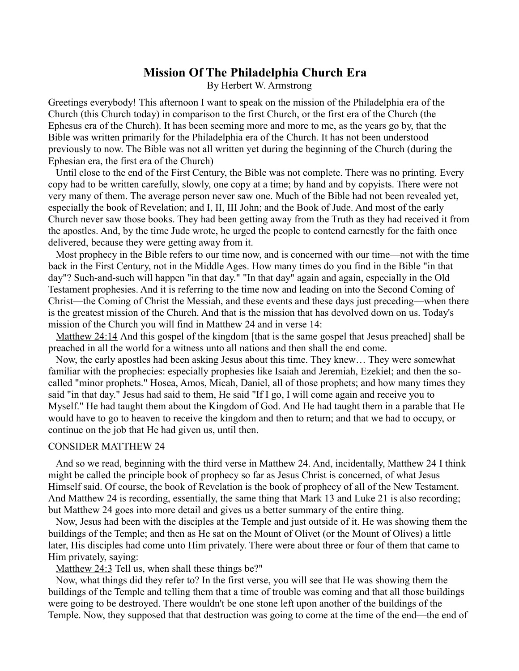# **Mission Of The Philadelphia Church Era** By Herbert W. Armstrong

Greetings everybody! This afternoon I want to speak on the mission of the Philadelphia era of the Church (this Church today) in comparison to the first Church, or the first era of the Church (the Ephesus era of the Church). It has been seeming more and more to me, as the years go by, that the Bible was written primarily for the Philadelphia era of the Church. It has not been understood previously to now. The Bible was not all written yet during the beginning of the Church (during the Ephesian era, the first era of the Church)

Until close to the end of the First Century, the Bible was not complete. There was no printing. Every copy had to be written carefully, slowly, one copy at a time; by hand and by copyists. There were not very many of them. The average person never saw one. Much of the Bible had not been revealed yet, especially the book of Revelation; and I, II, III John; and the Book of Jude. And most of the early Church never saw those books. They had been getting away from the Truth as they had received it from the apostles. And, by the time Jude wrote, he urged the people to contend earnestly for the faith once delivered, because they were getting away from it.

Most prophecy in the Bible refers to our time now, and is concerned with our time—not with the time back in the First Century, not in the Middle Ages. How many times do you find in the Bible "in that day"? Such-and-such will happen "in that day." "In that day" again and again, especially in the Old Testament prophesies. And it is referring to the time now and leading on into the Second Coming of Christ—the Coming of Christ the Messiah, and these events and these days just preceding—when there is the greatest mission of the Church. And that is the mission that has devolved down on us. Today's mission of the Church you will find in Matthew 24 and in verse 14:

[Matthew 24:14](http://biblia.com/bible/nkjv/Matt%2024.14) And this gospel of the kingdom [that is the same gospel that Jesus preached] shall be preached in all the world for a witness unto all nations and then shall the end come.

Now, the early apostles had been asking Jesus about this time. They knew… They were somewhat familiar with the prophecies: especially prophesies like Isaiah and Jeremiah, Ezekiel; and then the socalled "minor prophets." Hosea, Amos, Micah, Daniel, all of those prophets; and how many times they said "in that day." Jesus had said to them, He said "If I go, I will come again and receive you to Myself." He had taught them about the Kingdom of God. And He had taught them in a parable that He would have to go to heaven to receive the kingdom and then to return; and that we had to occupy, or continue on the job that He had given us, until then.

#### CONSIDER MATTHEW 24

And so we read, beginning with the third verse in Matthew 24. And, incidentally, Matthew 24 I think might be called the principle book of prophecy so far as Jesus Christ is concerned, of what Jesus Himself said. Of course, the book of Revelation is the book of prophecy of all of the New Testament. And Matthew 24 is recording, essentially, the same thing that Mark 13 and Luke 21 is also recording; but Matthew 24 goes into more detail and gives us a better summary of the entire thing.

Now, Jesus had been with the disciples at the Temple and just outside of it. He was showing them the buildings of the Temple; and then as He sat on the Mount of Olivet (or the Mount of Olives) a little later, His disciples had come unto Him privately. There were about three or four of them that came to Him privately, saying:

[Matthew 24:3](http://biblia.com/bible/nkjv/Matt%2024.3) Tell us, when shall these things be?"

Now, what things did they refer to? In the first verse, you will see that He was showing them the buildings of the Temple and telling them that a time of trouble was coming and that all those buildings were going to be destroyed. There wouldn't be one stone left upon another of the buildings of the Temple. Now, they supposed that that destruction was going to come at the time of the end—the end of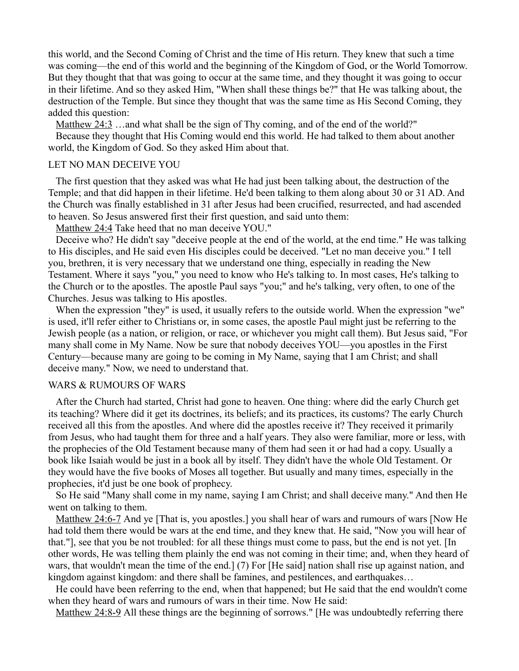this world, and the Second Coming of Christ and the time of His return. They knew that such a time was coming—the end of this world and the beginning of the Kingdom of God, or the World Tomorrow. But they thought that that was going to occur at the same time, and they thought it was going to occur in their lifetime. And so they asked Him, "When shall these things be?" that He was talking about, the destruction of the Temple. But since they thought that was the same time as His Second Coming, they added this question:

[Matthew 24:3](http://biblia.com/bible/nkjv/Matt%2024.3) …and what shall be the sign of Thy coming, and of the end of the world?"

Because they thought that His Coming would end this world. He had talked to them about another world, the Kingdom of God. So they asked Him about that.

#### LET NO MAN DECEIVE YOU

The first question that they asked was what He had just been talking about, the destruction of the Temple; and that did happen in their lifetime. He'd been talking to them along about 30 or 31 AD. And the Church was finally established in 31 after Jesus had been crucified, resurrected, and had ascended to heaven. So Jesus answered first their first question, and said unto them:

[Matthew 24:4](http://biblia.com/bible/nkjv/Matt%2024.4) Take heed that no man deceive YOU."

Deceive who? He didn't say "deceive people at the end of the world, at the end time." He was talking to His disciples, and He said even His disciples could be deceived. "Let no man deceive you." I tell you, brethren, it is very necessary that we understand one thing, especially in reading the New Testament. Where it says "you," you need to know who He's talking to. In most cases, He's talking to the Church or to the apostles. The apostle Paul says "you;" and he's talking, very often, to one of the Churches. Jesus was talking to His apostles.

When the expression "they" is used, it usually refers to the outside world. When the expression "we" is used, it'll refer either to Christians or, in some cases, the apostle Paul might just be referring to the Jewish people (as a nation, or religion, or race, or whichever you might call them). But Jesus said, "For many shall come in My Name. Now be sure that nobody deceives YOU—you apostles in the First Century—because many are going to be coming in My Name, saying that I am Christ; and shall deceive many." Now, we need to understand that.

#### WARS & RUMOURS OF WARS

After the Church had started, Christ had gone to heaven. One thing: where did the early Church get its teaching? Where did it get its doctrines, its beliefs; and its practices, its customs? The early Church received all this from the apostles. And where did the apostles receive it? They received it primarily from Jesus, who had taught them for three and a half years. They also were familiar, more or less, with the prophecies of the Old Testament because many of them had seen it or had had a copy. Usually a book like Isaiah would be just in a book all by itself. They didn't have the whole Old Testament. Or they would have the five books of Moses all together. But usually and many times, especially in the prophecies, it'd just be one book of prophecy.

So He said "Many shall come in my name, saying I am Christ; and shall deceive many." And then He went on talking to them.

[Matthew 24:6-7](http://biblia.com/bible/nkjv/Matt%2024.6-7) And ye [That is, you apostles.] you shall hear of wars and rumours of wars [Now He had told them there would be wars at the end time, and they knew that. He said, "Now you will hear of that."], see that you be not troubled: for all these things must come to pass, but the end is not yet. [In other words, He was telling them plainly the end was not coming in their time; and, when they heard of wars, that wouldn't mean the time of the end.] (7) For [He said] nation shall rise up against nation, and kingdom against kingdom: and there shall be famines, and pestilences, and earthquakes…

He could have been referring to the end, when that happened; but He said that the end wouldn't come when they heard of wars and rumours of wars in their time. Now He said:

[Matthew 24:8-9](http://biblia.com/bible/nkjv/Matt%2024.8-9) All these things are the beginning of sorrows." [He was undoubtedly referring there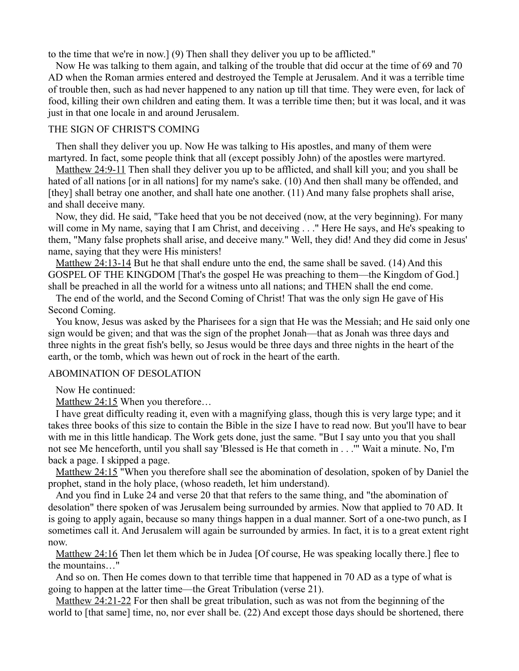to the time that we're in now.] (9) Then shall they deliver you up to be afflicted."

Now He was talking to them again, and talking of the trouble that did occur at the time of 69 and 70 AD when the Roman armies entered and destroyed the Temple at Jerusalem. And it was a terrible time of trouble then, such as had never happened to any nation up till that time. They were even, for lack of food, killing their own children and eating them. It was a terrible time then; but it was local, and it was just in that one locale in and around Jerusalem.

### THE SIGN OF CHRIST'S COMING

Then shall they deliver you up. Now He was talking to His apostles, and many of them were martyred. In fact, some people think that all (except possibly John) of the apostles were martyred.

[Matthew 24:9-11](http://biblia.com/bible/nkjv/Matt%2024.9-11) Then shall they deliver you up to be afflicted, and shall kill you; and you shall be hated of all nations [or in all nations] for my name's sake. (10) And then shall many be offended, and [they] shall betray one another, and shall hate one another. (11) And many false prophets shall arise, and shall deceive many.

Now, they did. He said, "Take heed that you be not deceived (now, at the very beginning). For many will come in My name, saying that I am Christ, and deceiving . . ." Here He says, and He's speaking to them, "Many false prophets shall arise, and deceive many." Well, they did! And they did come in Jesus' name, saying that they were His ministers!

[Matthew 24:13-14](http://biblia.com/bible/nkjv/Matt%2024.13-14) But he that shall endure unto the end, the same shall be saved. (14) And this GOSPEL OF THE KINGDOM [That's the gospel He was preaching to them—the Kingdom of God.] shall be preached in all the world for a witness unto all nations; and THEN shall the end come.

The end of the world, and the Second Coming of Christ! That was the only sign He gave of His Second Coming.

You know, Jesus was asked by the Pharisees for a sign that He was the Messiah; and He said only one sign would be given; and that was the sign of the prophet Jonah—that as Jonah was three days and three nights in the great fish's belly, so Jesus would be three days and three nights in the heart of the earth, or the tomb, which was hewn out of rock in the heart of the earth.

### ABOMINATION OF DESOLATION

Now He continued:

[Matthew 24:15](http://biblia.com/bible/nkjv/Matt%2024.15) When you therefore…

I have great difficulty reading it, even with a magnifying glass, though this is very large type; and it takes three books of this size to contain the Bible in the size I have to read now. But you'll have to bear with me in this little handicap. The Work gets done, just the same. "But I say unto you that you shall not see Me henceforth, until you shall say 'Blessed is He that cometh in . . .'" Wait a minute. No, I'm back a page. I skipped a page.

[Matthew 24:15](http://biblia.com/bible/nkjv/Matt%2024.15) "When you therefore shall see the abomination of desolation, spoken of by Daniel the prophet, stand in the holy place, (whoso readeth, let him understand).

And you find in Luke 24 and verse 20 that that refers to the same thing, and "the abomination of desolation" there spoken of was Jerusalem being surrounded by armies. Now that applied to 70 AD. It is going to apply again, because so many things happen in a dual manner. Sort of a one-two punch, as I sometimes call it. And Jerusalem will again be surrounded by armies. In fact, it is to a great extent right now.

[Matthew 24:16](http://biblia.com/bible/nkjv/Matt%2024.16) Then let them which be in Judea [Of course, He was speaking locally there.] flee to the mountains…"

And so on. Then He comes down to that terrible time that happened in 70 AD as a type of what is going to happen at the latter time—the Great Tribulation (verse 21).

[Matthew 24:21-22](http://biblia.com/bible/nkjv/Matt%2024.21-22) For then shall be great tribulation, such as was not from the beginning of the world to [that same] time, no, nor ever shall be. (22) And except those days should be shortened, there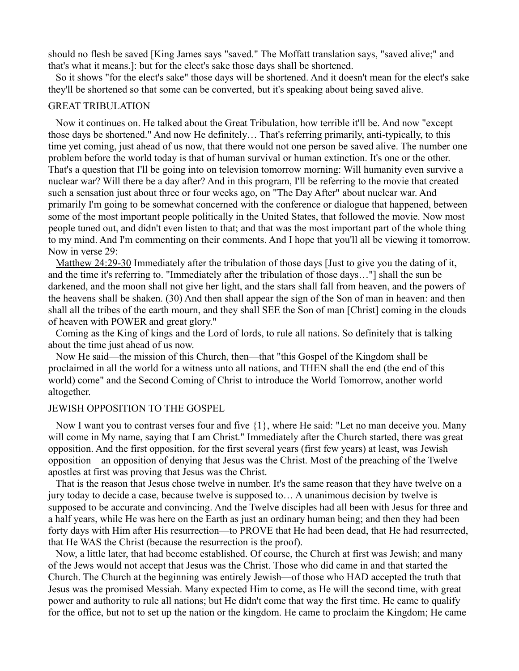should no flesh be saved [King James says "saved." The Moffatt translation says, "saved alive;" and that's what it means.]: but for the elect's sake those days shall be shortened.

So it shows "for the elect's sake" those days will be shortened. And it doesn't mean for the elect's sake they'll be shortened so that some can be converted, but it's speaking about being saved alive.

### GREAT TRIBULATION

Now it continues on. He talked about the Great Tribulation, how terrible it'll be. And now "except those days be shortened." And now He definitely… That's referring primarily, anti-typically, to this time yet coming, just ahead of us now, that there would not one person be saved alive. The number one problem before the world today is that of human survival or human extinction. It's one or the other. That's a question that I'll be going into on television tomorrow morning: Will humanity even survive a nuclear war? Will there be a day after? And in this program, I'll be referring to the movie that created such a sensation just about three or four weeks ago, on "The Day After" about nuclear war. And primarily I'm going to be somewhat concerned with the conference or dialogue that happened, between some of the most important people politically in the United States, that followed the movie. Now most people tuned out, and didn't even listen to that; and that was the most important part of the whole thing to my mind. And I'm commenting on their comments. And I hope that you'll all be viewing it tomorrow. Now in verse 29:

[Matthew 24:29-30](http://biblia.com/bible/nkjv/Matt%2024.29-30) Immediately after the tribulation of those days [Just to give you the dating of it, and the time it's referring to. "Immediately after the tribulation of those days…"] shall the sun be darkened, and the moon shall not give her light, and the stars shall fall from heaven, and the powers of the heavens shall be shaken. (30) And then shall appear the sign of the Son of man in heaven: and then shall all the tribes of the earth mourn, and they shall SEE the Son of man [Christ] coming in the clouds of heaven with POWER and great glory."

Coming as the King of kings and the Lord of lords, to rule all nations. So definitely that is talking about the time just ahead of us now.

Now He said—the mission of this Church, then—that "this Gospel of the Kingdom shall be proclaimed in all the world for a witness unto all nations, and THEN shall the end (the end of this world) come" and the Second Coming of Christ to introduce the World Tomorrow, another world altogether.

#### JEWISH OPPOSITION TO THE GOSPEL

Now I want you to contrast verses four and five {1}, where He said: "Let no man deceive you. Many will come in My name, saying that I am Christ." Immediately after the Church started, there was great opposition. And the first opposition, for the first several years (first few years) at least, was Jewish opposition—an opposition of denying that Jesus was the Christ. Most of the preaching of the Twelve apostles at first was proving that Jesus was the Christ.

That is the reason that Jesus chose twelve in number. It's the same reason that they have twelve on a jury today to decide a case, because twelve is supposed to… A unanimous decision by twelve is supposed to be accurate and convincing. And the Twelve disciples had all been with Jesus for three and a half years, while He was here on the Earth as just an ordinary human being; and then they had been forty days with Him after His resurrection—to PROVE that He had been dead, that He had resurrected, that He WAS the Christ (because the resurrection is the proof).

Now, a little later, that had become established. Of course, the Church at first was Jewish; and many of the Jews would not accept that Jesus was the Christ. Those who did came in and that started the Church. The Church at the beginning was entirely Jewish—of those who HAD accepted the truth that Jesus was the promised Messiah. Many expected Him to come, as He will the second time, with great power and authority to rule all nations; but He didn't come that way the first time. He came to qualify for the office, but not to set up the nation or the kingdom. He came to proclaim the Kingdom; He came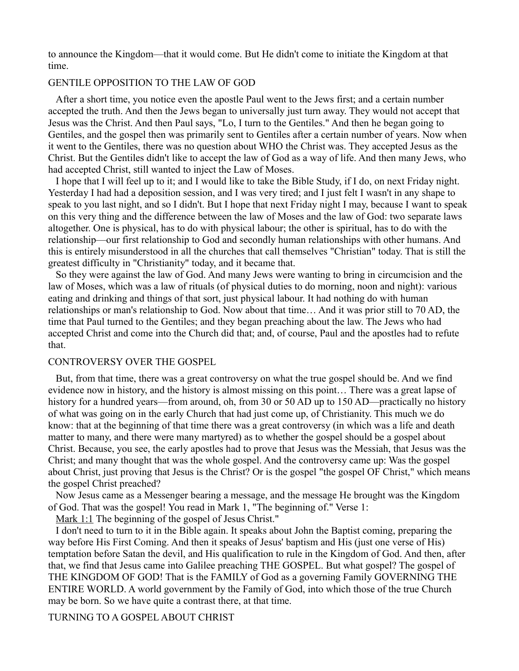to announce the Kingdom—that it would come. But He didn't come to initiate the Kingdom at that time.

#### GENTILE OPPOSITION TO THE LAW OF GOD

After a short time, you notice even the apostle Paul went to the Jews first; and a certain number accepted the truth. And then the Jews began to universally just turn away. They would not accept that Jesus was the Christ. And then Paul says, "Lo, I turn to the Gentiles." And then he began going to Gentiles, and the gospel then was primarily sent to Gentiles after a certain number of years. Now when it went to the Gentiles, there was no question about WHO the Christ was. They accepted Jesus as the Christ. But the Gentiles didn't like to accept the law of God as a way of life. And then many Jews, who had accepted Christ, still wanted to inject the Law of Moses.

I hope that I will feel up to it; and I would like to take the Bible Study, if I do, on next Friday night. Yesterday I had had a deposition session, and I was very tired; and I just felt I wasn't in any shape to speak to you last night, and so I didn't. But I hope that next Friday night I may, because I want to speak on this very thing and the difference between the law of Moses and the law of God: two separate laws altogether. One is physical, has to do with physical labour; the other is spiritual, has to do with the relationship—our first relationship to God and secondly human relationships with other humans. And this is entirely misunderstood in all the churches that call themselves "Christian" today. That is still the greatest difficulty in "Christianity" today, and it became that.

So they were against the law of God. And many Jews were wanting to bring in circumcision and the law of Moses, which was a law of rituals (of physical duties to do morning, noon and night): various eating and drinking and things of that sort, just physical labour. It had nothing do with human relationships or man's relationship to God. Now about that time… And it was prior still to 70 AD, the time that Paul turned to the Gentiles; and they began preaching about the law. The Jews who had accepted Christ and come into the Church did that; and, of course, Paul and the apostles had to refute that.

## CONTROVERSY OVER THE GOSPEL

But, from that time, there was a great controversy on what the true gospel should be. And we find evidence now in history, and the history is almost missing on this point… There was a great lapse of history for a hundred years—from around, oh, from 30 or 50 AD up to 150 AD—practically no history of what was going on in the early Church that had just come up, of Christianity. This much we do know: that at the beginning of that time there was a great controversy (in which was a life and death matter to many, and there were many martyred) as to whether the gospel should be a gospel about Christ. Because, you see, the early apostles had to prove that Jesus was the Messiah, that Jesus was the Christ; and many thought that was the whole gospel. And the controversy came up: Was the gospel about Christ, just proving that Jesus is the Christ? Or is the gospel "the gospel OF Christ," which means the gospel Christ preached?

Now Jesus came as a Messenger bearing a message, and the message He brought was the Kingdom of God. That was the gospel! You read in Mark 1, "The beginning of." Verse 1:

[Mark 1:1](http://biblia.com/bible/nkjv/Mark%201.1) The beginning of the gospel of Jesus Christ."

I don't need to turn to it in the Bible again. It speaks about John the Baptist coming, preparing the way before His First Coming. And then it speaks of Jesus' baptism and His (just one verse of His) temptation before Satan the devil, and His qualification to rule in the Kingdom of God. And then, after that, we find that Jesus came into Galilee preaching THE GOSPEL. But what gospel? The gospel of THE KINGDOM OF GOD! That is the FAMILY of God as a governing Family GOVERNING THE ENTIRE WORLD. A world government by the Family of God, into which those of the true Church may be born. So we have quite a contrast there, at that time.

TURNING TO A GOSPEL ABOUT CHRIST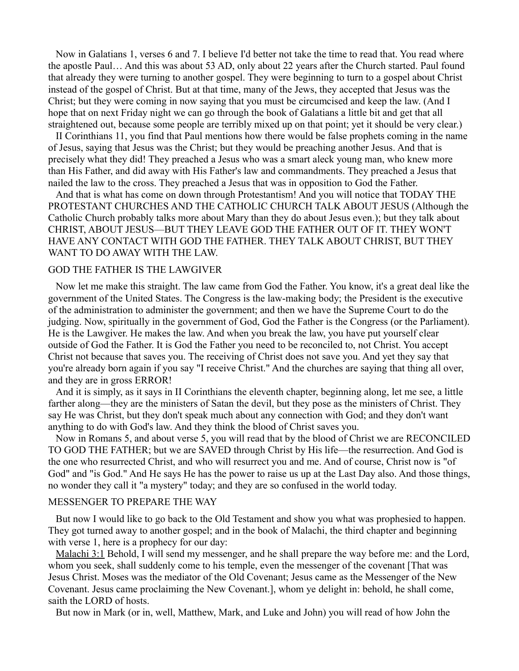Now in Galatians 1, verses 6 and 7. I believe I'd better not take the time to read that. You read where the apostle Paul… And this was about 53 AD, only about 22 years after the Church started. Paul found that already they were turning to another gospel. They were beginning to turn to a gospel about Christ instead of the gospel of Christ. But at that time, many of the Jews, they accepted that Jesus was the Christ; but they were coming in now saying that you must be circumcised and keep the law. (And I hope that on next Friday night we can go through the book of Galatians a little bit and get that all straightened out, because some people are terribly mixed up on that point; yet it should be very clear.)

II Corinthians 11, you find that Paul mentions how there would be false prophets coming in the name of Jesus, saying that Jesus was the Christ; but they would be preaching another Jesus. And that is precisely what they did! They preached a Jesus who was a smart aleck young man, who knew more than His Father, and did away with His Father's law and commandments. They preached a Jesus that nailed the law to the cross. They preached a Jesus that was in opposition to God the Father.

And that is what has come on down through Protestantism! And you will notice that TODAY THE PROTESTANT CHURCHES AND THE CATHOLIC CHURCH TALK ABOUT JESUS (Although the Catholic Church probably talks more about Mary than they do about Jesus even.); but they talk about CHRIST, ABOUT JESUS—BUT THEY LEAVE GOD THE FATHER OUT OF IT. THEY WON'T HAVE ANY CONTACT WITH GOD THE FATHER. THEY TALK ABOUT CHRIST, BUT THEY WANT TO DO AWAY WITH THE LAW.

### GOD THE FATHER IS THE LAWGIVER

Now let me make this straight. The law came from God the Father. You know, it's a great deal like the government of the United States. The Congress is the law-making body; the President is the executive of the administration to administer the government; and then we have the Supreme Court to do the judging. Now, spiritually in the government of God, God the Father is the Congress (or the Parliament). He is the Lawgiver. He makes the law. And when you break the law, you have put yourself clear outside of God the Father. It is God the Father you need to be reconciled to, not Christ. You accept Christ not because that saves you. The receiving of Christ does not save you. And yet they say that you're already born again if you say "I receive Christ." And the churches are saying that thing all over, and they are in gross ERROR!

And it is simply, as it says in II Corinthians the eleventh chapter, beginning along, let me see, a little farther along—they are the ministers of Satan the devil, but they pose as the ministers of Christ. They say He was Christ, but they don't speak much about any connection with God; and they don't want anything to do with God's law. And they think the blood of Christ saves you.

Now in Romans 5, and about verse 5, you will read that by the blood of Christ we are RECONCILED TO GOD THE FATHER; but we are SAVED through Christ by His life—the resurrection. And God is the one who resurrected Christ, and who will resurrect you and me. And of course, Christ now is "of God" and "is God." And He says He has the power to raise us up at the Last Day also. And those things, no wonder they call it "a mystery" today; and they are so confused in the world today.

#### MESSENGER TO PREPARE THE WAY

But now I would like to go back to the Old Testament and show you what was prophesied to happen. They got turned away to another gospel; and in the book of Malachi, the third chapter and beginning with verse 1, here is a prophecy for our day:

[Malachi 3:1](http://biblia.com/bible/nkjv/Mal%203.1) Behold, I will send my messenger, and he shall prepare the way before me: and the Lord, whom you seek, shall suddenly come to his temple, even the messenger of the covenant [That was Jesus Christ. Moses was the mediator of the Old Covenant; Jesus came as the Messenger of the New Covenant. Jesus came proclaiming the New Covenant.], whom ye delight in: behold, he shall come, saith the LORD of hosts.

But now in Mark (or in, well, Matthew, Mark, and Luke and John) you will read of how John the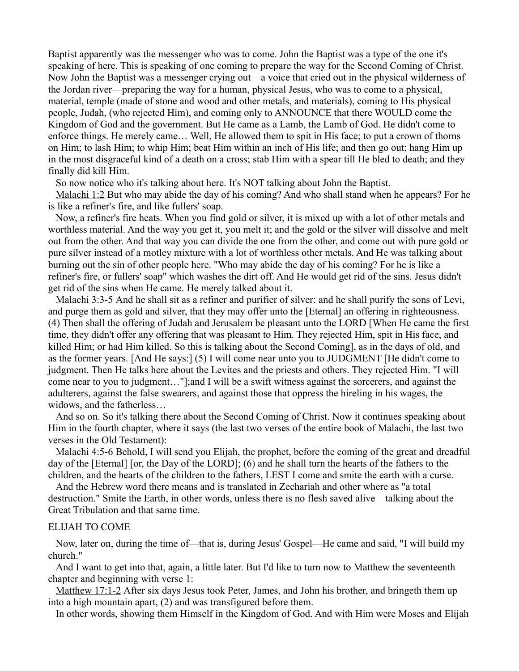Baptist apparently was the messenger who was to come. John the Baptist was a type of the one it's speaking of here. This is speaking of one coming to prepare the way for the Second Coming of Christ. Now John the Baptist was a messenger crying out—a voice that cried out in the physical wilderness of the Jordan river—preparing the way for a human, physical Jesus, who was to come to a physical, material, temple (made of stone and wood and other metals, and materials), coming to His physical people, Judah, (who rejected Him), and coming only to ANNOUNCE that there WOULD come the Kingdom of God and the government. But He came as a Lamb, the Lamb of God. He didn't come to enforce things. He merely came… Well, He allowed them to spit in His face; to put a crown of thorns on Him; to lash Him; to whip Him; beat Him within an inch of His life; and then go out; hang Him up in the most disgraceful kind of a death on a cross; stab Him with a spear till He bled to death; and they finally did kill Him.

So now notice who it's talking about here. It's NOT talking about John the Baptist.

[Malachi 1:2](http://biblia.com/bible/nkjv/Mal%201.2) But who may abide the day of his coming? And who shall stand when he appears? For he is like a refiner's fire, and like fullers' soap.

Now, a refiner's fire heats. When you find gold or silver, it is mixed up with a lot of other metals and worthless material. And the way you get it, you melt it; and the gold or the silver will dissolve and melt out from the other. And that way you can divide the one from the other, and come out with pure gold or pure silver instead of a motley mixture with a lot of worthless other metals. And He was talking about burning out the sin of other people here. "Who may abide the day of his coming? For he is like a refiner's fire, or fullers' soap" which washes the dirt off. And He would get rid of the sins. Jesus didn't get rid of the sins when He came. He merely talked about it.

[Malachi 3:3-5](http://biblia.com/bible/nkjv/Mal%203.3-5) And he shall sit as a refiner and purifier of silver: and he shall purify the sons of Levi, and purge them as gold and silver, that they may offer unto the [Eternal] an offering in righteousness. (4) Then shall the offering of Judah and Jerusalem be pleasant unto the LORD [When He came the first time, they didn't offer any offering that was pleasant to Him. They rejected Him, spit in His face, and killed Him; or had Him killed. So this is talking about the Second Coming], as in the days of old, and as the former years. [And He says:] (5) I will come near unto you to JUDGMENT [He didn't come to judgment. Then He talks here about the Levites and the priests and others. They rejected Him. "I will come near to you to judgment…"];and I will be a swift witness against the sorcerers, and against the adulterers, against the false swearers, and against those that oppress the hireling in his wages, the widows, and the fatherless…

And so on. So it's talking there about the Second Coming of Christ. Now it continues speaking about Him in the fourth chapter, where it says (the last two verses of the entire book of Malachi, the last two verses in the Old Testament):

[Malachi 4:5-6](http://biblia.com/bible/nkjv/Mal%204.5-6) Behold, I will send you Elijah, the prophet, before the coming of the great and dreadful day of the [Eternal] [or, the Day of the LORD]; (6) and he shall turn the hearts of the fathers to the children, and the hearts of the children to the fathers, LEST I come and smite the earth with a curse.

And the Hebrew word there means and is translated in Zechariah and other where as "a total destruction." Smite the Earth, in other words, unless there is no flesh saved alive—talking about the Great Tribulation and that same time.

#### ELIJAH TO COME

Now, later on, during the time of—that is, during Jesus' Gospel—He came and said, "I will build my church."

And I want to get into that, again, a little later. But I'd like to turn now to Matthew the seventeenth chapter and beginning with verse 1:

[Matthew 17:1-2](http://biblia.com/bible/nkjv/Matt%2017.1-2) After six days Jesus took Peter, James, and John his brother, and bringeth them up into a high mountain apart, (2) and was transfigured before them.

In other words, showing them Himself in the Kingdom of God. And with Him were Moses and Elijah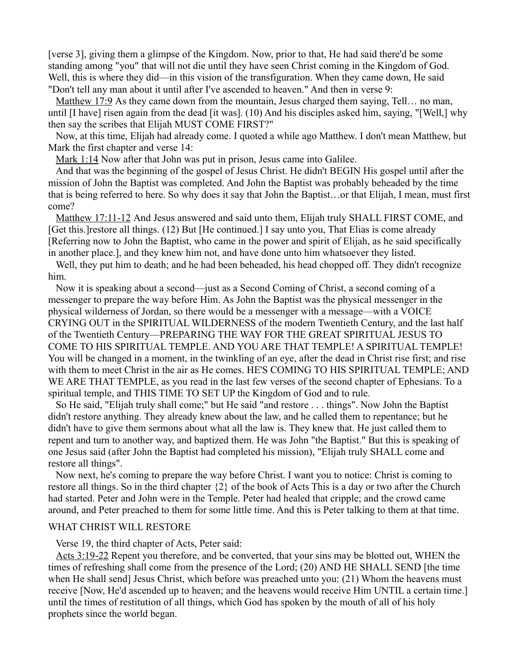[verse 3], giving them a glimpse of the Kingdom. Now, prior to that, He had said there'd be some standing among "you" that will not die until they have seen Christ coming in the Kingdom of God. Well, this is where they did—in this vision of the transfiguration. When they came down, He said "Don't tell any man about it until after I've ascended to heaven." And then in verse 9:

[Matthew 17:9](http://biblia.com/bible/nkjv/Matt%2017.9) As they came down from the mountain, Jesus charged them saying, Tell… no man, until [I have] risen again from the dead [it was]. (10) And his disciples asked him, saying, "[Well,] why then say the scribes that Elijah MUST COME FIRST?"

Now, at this time, Elijah had already come. I quoted a while ago Matthew. I don't mean Matthew, but Mark the first chapter and verse 14:

[Mark 1:14](http://biblia.com/bible/nkjv/Mark%201.14) Now after that John was put in prison, Jesus came into Galilee.

And that was the beginning of the gospel of Jesus Christ. He didn't BEGIN His gospel until after the mission of John the Baptist was completed. And John the Baptist was probably beheaded by the time that is being referred to here. So why does it say that John the Baptist…or that Elijah, I mean, must first come?

[Matthew 17:11-12](http://biblia.com/bible/nkjv/Matt%2017.11-12) And Jesus answered and said unto them, Elijah truly SHALL FIRST COME, and [Get this.]restore all things. (12) But [He continued.] I say unto you, That Elias is come already [Referring now to John the Baptist, who came in the power and spirit of Elijah, as he said specifically in another place.], and they knew him not, and have done unto him whatsoever they listed.

Well, they put him to death; and he had been beheaded, his head chopped off. They didn't recognize him.

Now it is speaking about a second—just as a Second Coming of Christ, a second coming of a messenger to prepare the way before Him. As John the Baptist was the physical messenger in the physical wilderness of Jordan, so there would be a messenger with a message—with a VOICE CRYING OUT in the SPIRITUAL WILDERNESS of the modern Twentieth Century, and the last half of the Twentieth Century—PREPARING THE WAY FOR THE GREAT SPIRITUAL JESUS TO COME TO HIS SPIRITUAL TEMPLE. AND YOU ARE THAT TEMPLE! A SPIRITUAL TEMPLE! You will be changed in a moment, in the twinkling of an eye, after the dead in Christ rise first; and rise with them to meet Christ in the air as He comes. HE'S COMING TO HIS SPIRITUAL TEMPLE; AND WE ARE THAT TEMPLE, as you read in the last few verses of the second chapter of Ephesians. To a spiritual temple, and THIS TIME TO SET UP the Kingdom of God and to rule.

So He said, "Elijah truly shall come;" but He said "and restore . . . things". Now John the Baptist didn't restore anything. They already knew about the law, and he called them to repentance; but he didn't have to give them sermons about what all the law is. They knew that. He just called them to repent and turn to another way, and baptized them. He was John "the Baptist." But this is speaking of one Jesus said (after John the Baptist had completed his mission), "Elijah truly SHALL come and restore all things".

Now next, he's coming to prepare the way before Christ. I want you to notice: Christ is coming to restore all things. So in the third chapter {2} of the book of Acts This is a day or two after the Church had started. Peter and John were in the Temple. Peter had healed that cripple; and the crowd came around, and Peter preached to them for some little time. And this is Peter talking to them at that time.

#### WHAT CHRIST WILL RESTORE

Verse 19, the third chapter of Acts, Peter said:

[Acts 3:19-22](http://biblia.com/bible/nkjv/Acts%203.19-22) Repent you therefore, and be converted, that your sins may be blotted out, WHEN the times of refreshing shall come from the presence of the Lord; (20) AND HE SHALL SEND [the time when He shall send] Jesus Christ, which before was preached unto you: (21) Whom the heavens must receive [Now, He'd ascended up to heaven; and the heavens would receive Him UNTIL a certain time.] until the times of restitution of all things, which God has spoken by the mouth of all of his holy prophets since the world began.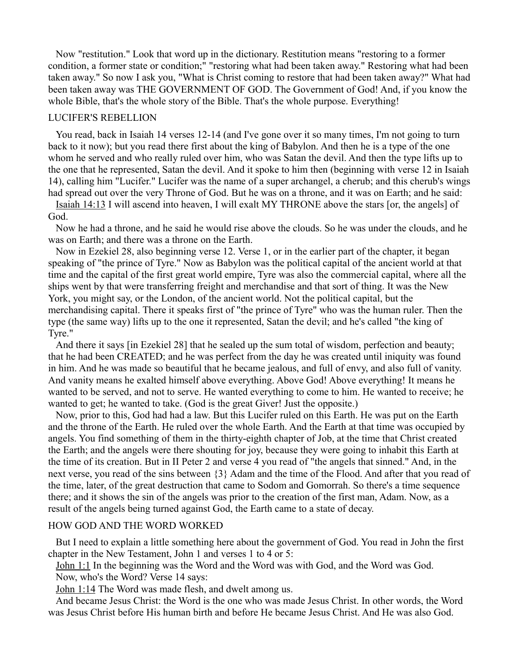Now "restitution." Look that word up in the dictionary. Restitution means "restoring to a former condition, a former state or condition;" "restoring what had been taken away." Restoring what had been taken away." So now I ask you, "What is Christ coming to restore that had been taken away?" What had been taken away was THE GOVERNMENT OF GOD. The Government of God! And, if you know the whole Bible, that's the whole story of the Bible. That's the whole purpose. Everything!

## LUCIFER'S REBELLION

You read, back in Isaiah 14 verses 12-14 (and I've gone over it so many times, I'm not going to turn back to it now); but you read there first about the king of Babylon. And then he is a type of the one whom he served and who really ruled over him, who was Satan the devil. And then the type lifts up to the one that he represented, Satan the devil. And it spoke to him then (beginning with verse 12 in Isaiah 14), calling him "Lucifer." Lucifer was the name of a super archangel, a cherub; and this cherub's wings had spread out over the very Throne of God. But he was on a throne, and it was on Earth; and he said:

[Isaiah 14:13](http://biblia.com/bible/nkjv/Isa%2014.13) I will ascend into heaven, I will exalt MY THRONE above the stars [or, the angels] of God.

Now he had a throne, and he said he would rise above the clouds. So he was under the clouds, and he was on Earth; and there was a throne on the Earth.

Now in Ezekiel 28, also beginning verse 12. Verse 1, or in the earlier part of the chapter, it began speaking of "the prince of Tyre." Now as Babylon was the political capital of the ancient world at that time and the capital of the first great world empire, Tyre was also the commercial capital, where all the ships went by that were transferring freight and merchandise and that sort of thing. It was the New York, you might say, or the London, of the ancient world. Not the political capital, but the merchandising capital. There it speaks first of "the prince of Tyre" who was the human ruler. Then the type (the same way) lifts up to the one it represented, Satan the devil; and he's called "the king of Tyre."

And there it says [in Ezekiel 28] that he sealed up the sum total of wisdom, perfection and beauty; that he had been CREATED; and he was perfect from the day he was created until iniquity was found in him. And he was made so beautiful that he became jealous, and full of envy, and also full of vanity. And vanity means he exalted himself above everything. Above God! Above everything! It means he wanted to be served, and not to serve. He wanted everything to come to him. He wanted to receive; he wanted to get; he wanted to take. (God is the great Giver! Just the opposite.)

Now, prior to this, God had had a law. But this Lucifer ruled on this Earth. He was put on the Earth and the throne of the Earth. He ruled over the whole Earth. And the Earth at that time was occupied by angels. You find something of them in the thirty-eighth chapter of Job, at the time that Christ created the Earth; and the angels were there shouting for joy, because they were going to inhabit this Earth at the time of its creation. But in II Peter 2 and verse 4 you read of "the angels that sinned." And, in the next verse, you read of the sins between {3} Adam and the time of the Flood. And after that you read of the time, later, of the great destruction that came to Sodom and Gomorrah. So there's a time sequence there; and it shows the sin of the angels was prior to the creation of the first man, Adam. Now, as a result of the angels being turned against God, the Earth came to a state of decay.

#### HOW GOD AND THE WORD WORKED

But I need to explain a little something here about the government of God. You read in John the first chapter in the New Testament, John 1 and verses 1 to 4 or 5:

[John 1:1](http://biblia.com/bible/nkjv/John%201.1) In the beginning was the Word and the Word was with God, and the Word was God.

Now, who's the Word? Verse 14 says:

[John 1:14](http://biblia.com/bible/nkjv/John%201.14) The Word was made flesh, and dwelt among us.

And became Jesus Christ: the Word is the one who was made Jesus Christ. In other words, the Word was Jesus Christ before His human birth and before He became Jesus Christ. And He was also God.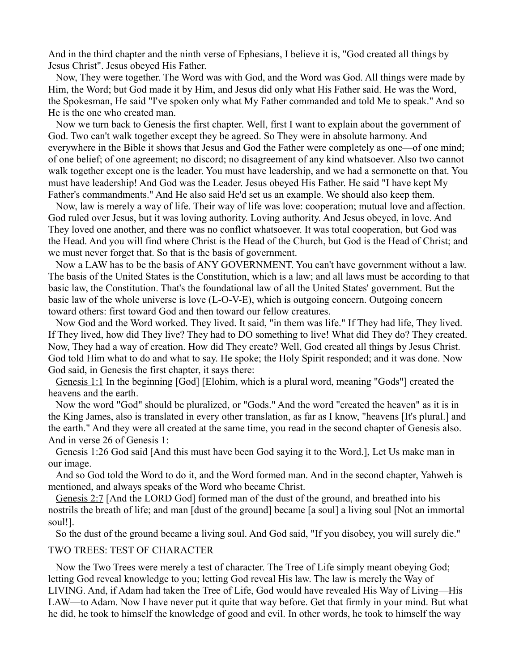And in the third chapter and the ninth verse of Ephesians, I believe it is, "God created all things by Jesus Christ". Jesus obeyed His Father.

Now, They were together. The Word was with God, and the Word was God. All things were made by Him, the Word; but God made it by Him, and Jesus did only what His Father said. He was the Word, the Spokesman, He said "I've spoken only what My Father commanded and told Me to speak." And so He is the one who created man.

Now we turn back to Genesis the first chapter. Well, first I want to explain about the government of God. Two can't walk together except they be agreed. So They were in absolute harmony. And everywhere in the Bible it shows that Jesus and God the Father were completely as one—of one mind; of one belief; of one agreement; no discord; no disagreement of any kind whatsoever. Also two cannot walk together except one is the leader. You must have leadership, and we had a sermonette on that. You must have leadership! And God was the Leader. Jesus obeyed His Father. He said "I have kept My Father's commandments." And He also said He'd set us an example. We should also keep them.

Now, law is merely a way of life. Their way of life was love: cooperation; mutual love and affection. God ruled over Jesus, but it was loving authority. Loving authority. And Jesus obeyed, in love. And They loved one another, and there was no conflict whatsoever. It was total cooperation, but God was the Head. And you will find where Christ is the Head of the Church, but God is the Head of Christ; and we must never forget that. So that is the basis of government.

Now a LAW has to be the basis of ANY GOVERNMENT. You can't have government without a law. The basis of the United States is the Constitution, which is a law; and all laws must be according to that basic law, the Constitution. That's the foundational law of all the United States' government. But the basic law of the whole universe is love (L-O-V-E), which is outgoing concern. Outgoing concern toward others: first toward God and then toward our fellow creatures.

Now God and the Word worked. They lived. It said, "in them was life." If They had life, They lived. If They lived, how did They live? They had to DO something to live! What did They do? They created. Now, They had a way of creation. How did They create? Well, God created all things by Jesus Christ. God told Him what to do and what to say. He spoke; the Holy Spirit responded; and it was done. Now God said, in Genesis the first chapter, it says there:

[Genesis 1:1](http://biblia.com/bible/nkjv/Gen%201.1) In the beginning [God] [Elohim, which is a plural word, meaning "Gods"] created the heavens and the earth.

Now the word "God" should be pluralized, or "Gods." And the word "created the heaven" as it is in the King James, also is translated in every other translation, as far as I know, "heavens [It's plural.] and the earth." And they were all created at the same time, you read in the second chapter of Genesis also. And in verse 26 of Genesis 1:

[Genesis 1:26](http://biblia.com/bible/nkjv/Gen%201.26) God said [And this must have been God saying it to the Word.], Let Us make man in our image.

And so God told the Word to do it, and the Word formed man. And in the second chapter, Yahweh is mentioned, and always speaks of the Word who became Christ.

[Genesis 2:7](http://biblia.com/bible/nkjv/Gen%202.7) [And the LORD God] formed man of the dust of the ground, and breathed into his nostrils the breath of life; and man [dust of the ground] became [a soul] a living soul [Not an immortal soul!].

So the dust of the ground became a living soul. And God said, "If you disobey, you will surely die."

# TWO TREES: TEST OF CHARACTER

Now the Two Trees were merely a test of character. The Tree of Life simply meant obeying God; letting God reveal knowledge to you; letting God reveal His law. The law is merely the Way of LIVING. And, if Adam had taken the Tree of Life, God would have revealed His Way of Living—His LAW—to Adam. Now I have never put it quite that way before. Get that firmly in your mind. But what he did, he took to himself the knowledge of good and evil. In other words, he took to himself the way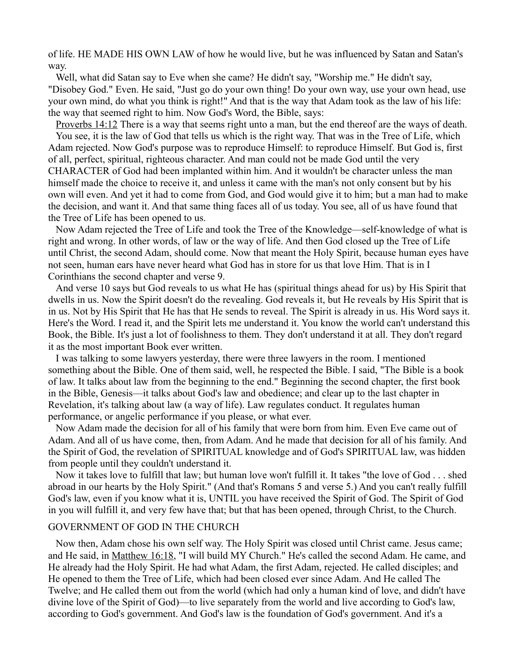of life. HE MADE HIS OWN LAW of how he would live, but he was influenced by Satan and Satan's way.

Well, what did Satan say to Eve when she came? He didn't say, "Worship me." He didn't say, "Disobey God." Even. He said, "Just go do your own thing! Do your own way, use your own head, use your own mind, do what you think is right!" And that is the way that Adam took as the law of his life: the way that seemed right to him. Now God's Word, the Bible, says:

[Proverbs 14:12](http://biblia.com/bible/nkjv/Prov%2014.12) There is a way that seems right unto a man, but the end thereof are the ways of death. You see, it is the law of God that tells us which is the right way. That was in the Tree of Life, which Adam rejected. Now God's purpose was to reproduce Himself: to reproduce Himself. But God is, first of all, perfect, spiritual, righteous character. And man could not be made God until the very CHARACTER of God had been implanted within him. And it wouldn't be character unless the man himself made the choice to receive it, and unless it came with the man's not only consent but by his own will even. And yet it had to come from God, and God would give it to him; but a man had to make the decision, and want it. And that same thing faces all of us today. You see, all of us have found that the Tree of Life has been opened to us.

Now Adam rejected the Tree of Life and took the Tree of the Knowledge—self-knowledge of what is right and wrong. In other words, of law or the way of life. And then God closed up the Tree of Life until Christ, the second Adam, should come. Now that meant the Holy Spirit, because human eyes have not seen, human ears have never heard what God has in store for us that love Him. That is in I Corinthians the second chapter and verse 9.

And verse 10 says but God reveals to us what He has (spiritual things ahead for us) by His Spirit that dwells in us. Now the Spirit doesn't do the revealing. God reveals it, but He reveals by His Spirit that is in us. Not by His Spirit that He has that He sends to reveal. The Spirit is already in us. His Word says it. Here's the Word. I read it, and the Spirit lets me understand it. You know the world can't understand this Book, the Bible. It's just a lot of foolishness to them. They don't understand it at all. They don't regard it as the most important Book ever written.

I was talking to some lawyers yesterday, there were three lawyers in the room. I mentioned something about the Bible. One of them said, well, he respected the Bible. I said, "The Bible is a book of law. It talks about law from the beginning to the end." Beginning the second chapter, the first book in the Bible, Genesis—it talks about God's law and obedience; and clear up to the last chapter in Revelation, it's talking about law (a way of life). Law regulates conduct. It regulates human performance, or angelic performance if you please, or what ever.

Now Adam made the decision for all of his family that were born from him. Even Eve came out of Adam. And all of us have come, then, from Adam. And he made that decision for all of his family. And the Spirit of God, the revelation of SPIRITUAL knowledge and of God's SPIRITUAL law, was hidden from people until they couldn't understand it.

Now it takes love to fulfill that law; but human love won't fulfill it. It takes "the love of God . . . shed abroad in our hearts by the Holy Spirit." (And that's Romans 5 and verse 5.) And you can't really fulfill God's law, even if you know what it is, UNTIL you have received the Spirit of God. The Spirit of God in you will fulfill it, and very few have that; but that has been opened, through Christ, to the Church.

#### GOVERNMENT OF GOD IN THE CHURCH

Now then, Adam chose his own self way. The Holy Spirit was closed until Christ came. Jesus came; and He said, in [Matthew 16:18,](http://biblia.com/bible/nkjv/Matt%2016.18) "I will build MY Church." He's called the second Adam. He came, and He already had the Holy Spirit. He had what Adam, the first Adam, rejected. He called disciples; and He opened to them the Tree of Life, which had been closed ever since Adam. And He called The Twelve; and He called them out from the world (which had only a human kind of love, and didn't have divine love of the Spirit of God)—to live separately from the world and live according to God's law, according to God's government. And God's law is the foundation of God's government. And it's a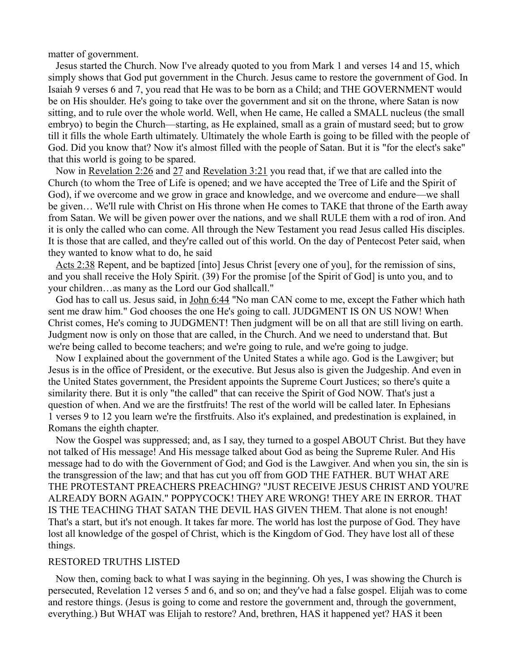matter of government.

Jesus started the Church. Now I've already quoted to you from Mark 1 and verses 14 and 15, which simply shows that God put government in the Church. Jesus came to restore the government of God. In Isaiah 9 verses 6 and 7, you read that He was to be born as a Child; and THE GOVERNMENT would be on His shoulder. He's going to take over the government and sit on the throne, where Satan is now sitting, and to rule over the whole world. Well, when He came, He called a SMALL nucleus (the small embryo) to begin the Church—starting, as He explained, small as a grain of mustard seed; but to grow till it fills the whole Earth ultimately. Ultimately the whole Earth is going to be filled with the people of God. Did you know that? Now it's almost filled with the people of Satan. But it is "for the elect's sake" that this world is going to be spared.

Now in [Revelation 2:26](http://biblia.com/bible/nkjv/Rev%202.26) and [27](http://biblia.com/bible/nkjv/Revelation%202.27) and [Revelation 3:21](http://biblia.com/bible/nkjv/Rev%203.21) you read that, if we that are called into the Church (to whom the Tree of Life is opened; and we have accepted the Tree of Life and the Spirit of God), if we overcome and we grow in grace and knowledge, and we overcome and endure—we shall be given… We'll rule with Christ on His throne when He comes to TAKE that throne of the Earth away from Satan. We will be given power over the nations, and we shall RULE them with a rod of iron. And it is only the called who can come. All through the New Testament you read Jesus called His disciples. It is those that are called, and they're called out of this world. On the day of Pentecost Peter said, when they wanted to know what to do, he said

[Acts 2:38](http://biblia.com/bible/nkjv/Acts%202.38) Repent, and be baptized [into] Jesus Christ [every one of you], for the remission of sins, and you shall receive the Holy Spirit. (39) For the promise [of the Spirit of God] is unto you, and to your children…as many as the Lord our God shallcall."

God has to call us. Jesus said, in [John 6:44](http://biblia.com/bible/nkjv/John%206.44) "No man CAN come to me, except the Father which hath sent me draw him." God chooses the one He's going to call. JUDGMENT IS ON US NOW! When Christ comes, He's coming to JUDGMENT! Then judgment will be on all that are still living on earth. Judgment now is only on those that are called, in the Church. And we need to understand that. But we're being called to become teachers; and we're going to rule, and we're going to judge.

Now I explained about the government of the United States a while ago. God is the Lawgiver; but Jesus is in the office of President, or the executive. But Jesus also is given the Judgeship. And even in the United States government, the President appoints the Supreme Court Justices; so there's quite a similarity there. But it is only "the called" that can receive the Spirit of God NOW. That's just a question of when. And we are the firstfruits! The rest of the world will be called later. In Ephesians 1 verses 9 to 12 you learn we're the firstfruits. Also it's explained, and predestination is explained, in Romans the eighth chapter.

Now the Gospel was suppressed; and, as I say, they turned to a gospel ABOUT Christ. But they have not talked of His message! And His message talked about God as being the Supreme Ruler. And His message had to do with the Government of God; and God is the Lawgiver. And when you sin, the sin is the transgression of the law; and that has cut you off from GOD THE FATHER. BUT WHAT ARE THE PROTESTANT PREACHERS PREACHING? "JUST RECEIVE JESUS CHRIST AND YOU'RE ALREADY BORN AGAIN." POPPYCOCK! THEY ARE WRONG! THEY ARE IN ERROR. THAT IS THE TEACHING THAT SATAN THE DEVIL HAS GIVEN THEM. That alone is not enough! That's a start, but it's not enough. It takes far more. The world has lost the purpose of God. They have lost all knowledge of the gospel of Christ, which is the Kingdom of God. They have lost all of these things.

#### RESTORED TRUTHS LISTED

Now then, coming back to what I was saying in the beginning. Oh yes, I was showing the Church is persecuted, Revelation 12 verses 5 and 6, and so on; and they've had a false gospel. Elijah was to come and restore things. (Jesus is going to come and restore the government and, through the government, everything.) But WHAT was Elijah to restore? And, brethren, HAS it happened yet? HAS it been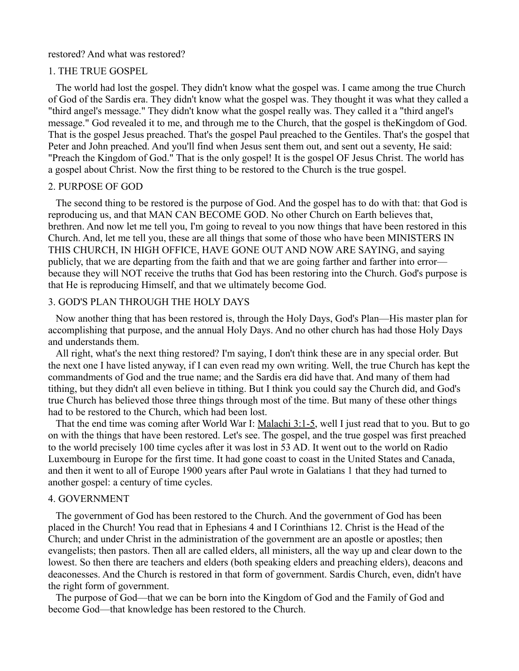#### restored? And what was restored?

### 1. THE TRUE GOSPEL

The world had lost the gospel. They didn't know what the gospel was. I came among the true Church of God of the Sardis era. They didn't know what the gospel was. They thought it was what they called a "third angel's message." They didn't know what the gospel really was. They called it a "third angel's message." God revealed it to me, and through me to the Church, that the gospel is theKingdom of God. That is the gospel Jesus preached. That's the gospel Paul preached to the Gentiles. That's the gospel that Peter and John preached. And you'll find when Jesus sent them out, and sent out a seventy, He said: "Preach the Kingdom of God." That is the only gospel! It is the gospel OF Jesus Christ. The world has a gospel about Christ. Now the first thing to be restored to the Church is the true gospel.

## 2. PURPOSE OF GOD

The second thing to be restored is the purpose of God. And the gospel has to do with that: that God is reproducing us, and that MAN CAN BECOME GOD. No other Church on Earth believes that, brethren. And now let me tell you, I'm going to reveal to you now things that have been restored in this Church. And, let me tell you, these are all things that some of those who have been MINISTERS IN THIS CHURCH, IN HIGH OFFICE, HAVE GONE OUT AND NOW ARE SAYING, and saying publicly, that we are departing from the faith and that we are going farther and farther into error because they will NOT receive the truths that God has been restoring into the Church. God's purpose is that He is reproducing Himself, and that we ultimately become God.

## 3. GOD'S PLAN THROUGH THE HOLY DAYS

Now another thing that has been restored is, through the Holy Days, God's Plan—His master plan for accomplishing that purpose, and the annual Holy Days. And no other church has had those Holy Days and understands them.

All right, what's the next thing restored? I'm saying, I don't think these are in any special order. But the next one I have listed anyway, if I can even read my own writing. Well, the true Church has kept the commandments of God and the true name; and the Sardis era did have that. And many of them had tithing, but they didn't all even believe in tithing. But I think you could say the Church did, and God's true Church has believed those three things through most of the time. But many of these other things had to be restored to the Church, which had been lost.

That the end time was coming after World War I: [Malachi 3:1-5,](http://biblia.com/bible/nkjv/Mal%203.1-5) well I just read that to you. But to go on with the things that have been restored. Let's see. The gospel, and the true gospel was first preached to the world precisely 100 time cycles after it was lost in 53 AD. It went out to the world on Radio Luxembourg in Europe for the first time. It had gone coast to coast in the United States and Canada, and then it went to all of Europe 1900 years after Paul wrote in Galatians 1 that they had turned to another gospel: a century of time cycles.

## 4. GOVERNMENT

The government of God has been restored to the Church. And the government of God has been placed in the Church! You read that in Ephesians 4 and I Corinthians 12. Christ is the Head of the Church; and under Christ in the administration of the government are an apostle or apostles; then evangelists; then pastors. Then all are called elders, all ministers, all the way up and clear down to the lowest. So then there are teachers and elders (both speaking elders and preaching elders), deacons and deaconesses. And the Church is restored in that form of government. Sardis Church, even, didn't have the right form of government.

The purpose of God—that we can be born into the Kingdom of God and the Family of God and become God—that knowledge has been restored to the Church.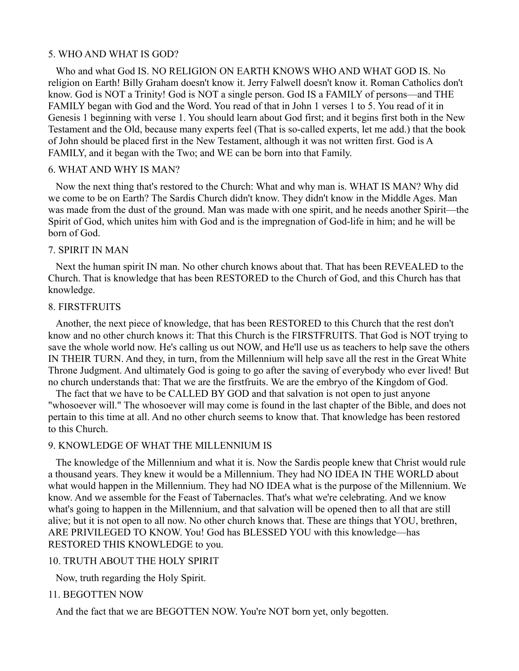### 5. WHO AND WHAT IS GOD?

Who and what God IS. NO RELIGION ON EARTH KNOWS WHO AND WHAT GOD IS. No religion on Earth! Billy Graham doesn't know it. Jerry Falwell doesn't know it. Roman Catholics don't know. God is NOT a Trinity! God is NOT a single person. God IS a FAMILY of persons—and THE FAMILY began with God and the Word. You read of that in John 1 verses 1 to 5. You read of it in Genesis 1 beginning with verse 1. You should learn about God first; and it begins first both in the New Testament and the Old, because many experts feel (That is so-called experts, let me add.) that the book of John should be placed first in the New Testament, although it was not written first. God is A FAMILY, and it began with the Two; and WE can be born into that Family.

# 6. WHAT AND WHY IS MAN?

Now the next thing that's restored to the Church: What and why man is. WHAT IS MAN? Why did we come to be on Earth? The Sardis Church didn't know. They didn't know in the Middle Ages. Man was made from the dust of the ground. Man was made with one spirit, and he needs another Spirit—the Spirit of God, which unites him with God and is the impregnation of God-life in him; and he will be born of God.

### 7. SPIRIT IN MAN

Next the human spirit IN man. No other church knows about that. That has been REVEALED to the Church. That is knowledge that has been RESTORED to the Church of God, and this Church has that knowledge.

### 8. FIRSTFRUITS

Another, the next piece of knowledge, that has been RESTORED to this Church that the rest don't know and no other church knows it: That this Church is the FIRSTFRUITS. That God is NOT trying to save the whole world now. He's calling us out NOW, and He'll use us as teachers to help save the others IN THEIR TURN. And they, in turn, from the Millennium will help save all the rest in the Great White Throne Judgment. And ultimately God is going to go after the saving of everybody who ever lived! But no church understands that: That we are the firstfruits. We are the embryo of the Kingdom of God.

The fact that we have to be CALLED BY GOD and that salvation is not open to just anyone "whosoever will." The whosoever will may come is found in the last chapter of the Bible, and does not pertain to this time at all. And no other church seems to know that. That knowledge has been restored to this Church.

#### 9. KNOWLEDGE OF WHAT THE MILLENNIUM IS

The knowledge of the Millennium and what it is. Now the Sardis people knew that Christ would rule a thousand years. They knew it would be a Millennium. They had NO IDEA IN THE WORLD about what would happen in the Millennium. They had NO IDEA what is the purpose of the Millennium. We know. And we assemble for the Feast of Tabernacles. That's what we're celebrating. And we know what's going to happen in the Millennium, and that salvation will be opened then to all that are still alive; but it is not open to all now. No other church knows that. These are things that YOU, brethren, ARE PRIVILEGED TO KNOW. You! God has BLESSED YOU with this knowledge—has RESTORED THIS KNOWLEDGE to you.

## 10. TRUTH ABOUT THE HOLY SPIRIT

Now, truth regarding the Holy Spirit.

#### 11. BEGOTTEN NOW

And the fact that we are BEGOTTEN NOW. You're NOT born yet, only begotten.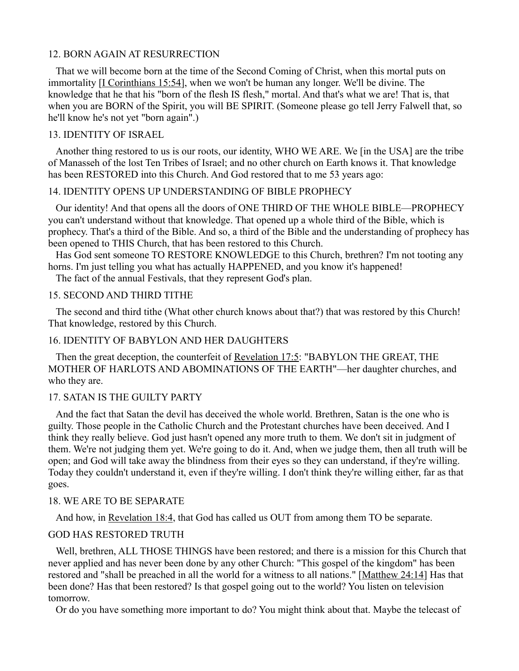## 12. BORN AGAIN AT RESURRECTION

That we will become born at the time of the Second Coming of Christ, when this mortal puts on immortality *[\[I Corinthians 15:54\]](http://biblia.com/bible/nkjv/1%20Cor%2015.54)*, when we won't be human any longer. We'll be divine. The knowledge that he that his "born of the flesh IS flesh," mortal. And that's what we are! That is, that when you are BORN of the Spirit, you will BE SPIRIT. (Someone please go tell Jerry Falwell that, so he'll know he's not yet "born again".)

## 13. IDENTITY OF ISRAEL

Another thing restored to us is our roots, our identity, WHO WE ARE. We [in the USA] are the tribe of Manasseh of the lost Ten Tribes of Israel; and no other church on Earth knows it. That knowledge has been RESTORED into this Church. And God restored that to me 53 years ago:

# 14. IDENTITY OPENS UP UNDERSTANDING OF BIBLE PROPHECY

Our identity! And that opens all the doors of ONE THIRD OF THE WHOLE BIBLE—PROPHECY you can't understand without that knowledge. That opened up a whole third of the Bible, which is prophecy. That's a third of the Bible. And so, a third of the Bible and the understanding of prophecy has been opened to THIS Church, that has been restored to this Church.

Has God sent someone TO RESTORE KNOWLEDGE to this Church, brethren? I'm not tooting any horns. I'm just telling you what has actually HAPPENED, and you know it's happened!

The fact of the annual Festivals, that they represent God's plan.

## 15. SECOND AND THIRD TITHE

The second and third tithe (What other church knows about that?) that was restored by this Church! That knowledge, restored by this Church.

## 16. IDENTITY OF BABYLON AND HER DAUGHTERS

Then the great deception, the counterfeit of [Revelation 17:5:](http://biblia.com/bible/nkjv/Rev%2017.5) "BABYLON THE GREAT, THE MOTHER OF HARLOTS AND ABOMINATIONS OF THE EARTH"—her daughter churches, and who they are.

## 17. SATAN IS THE GUILTY PARTY

And the fact that Satan the devil has deceived the whole world. Brethren, Satan is the one who is guilty. Those people in the Catholic Church and the Protestant churches have been deceived. And I think they really believe. God just hasn't opened any more truth to them. We don't sit in judgment of them. We're not judging them yet. We're going to do it. And, when we judge them, then all truth will be open; and God will take away the blindness from their eyes so they can understand, if they're willing. Today they couldn't understand it, even if they're willing. I don't think they're willing either, far as that goes.

### 18. WE ARE TO BE SEPARATE

And how, in [Revelation 18:4,](http://biblia.com/bible/nkjv/Rev%2018.4) that God has called us OUT from among them TO be separate.

### GOD HAS RESTORED TRUTH

Well, brethren, ALL THOSE THINGS have been restored; and there is a mission for this Church that never applied and has never been done by any other Church: "This gospel of the kingdom" has been restored and "shall be preached in all the world for a witness to all nations." [\[Matthew 24:14\]](http://biblia.com/bible/nkjv/Matt%2024.14) Has that been done? Has that been restored? Is that gospel going out to the world? You listen on television tomorrow.

Or do you have something more important to do? You might think about that. Maybe the telecast of